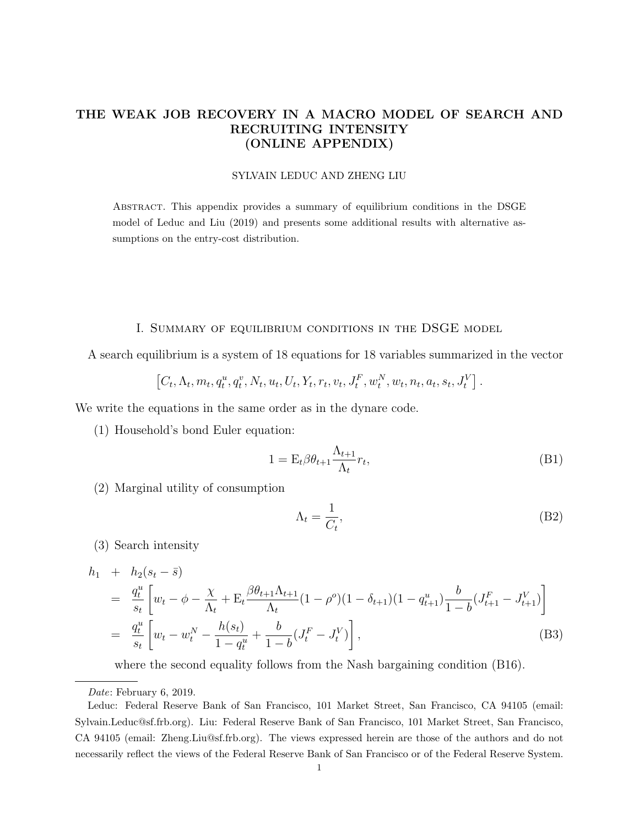# THE WEAK JOB RECOVERY IN A MACRO MODEL OF SEARCH AND RECRUITING INTENSITY (ONLINE APPENDIX)

#### SYLVAIN LEDUC AND ZHENG LIU

Abstract. This appendix provides a summary of equilibrium conditions in the DSGE model of Leduc and Liu (2019) and presents some additional results with alternative assumptions on the entry-cost distribution.

### I. Summary of equilibrium conditions in the DSGE model

A search equilibrium is a system of 18 equations for 18 variables summarized in the vector

$$
\left[C_t, \Lambda_t, m_t, q_t^u, q_t^v, N_t, u_t, U_t, Y_t, r_t, v_t, J_t^F, w_t^N, w_t, n_t, a_t, s_t, J_t^V\right].
$$

We write the equations in the same order as in the dynare code.

(1) Household's bond Euler equation:

$$
1 = \mathcal{E}_t \beta \theta_{t+1} \frac{\Lambda_{t+1}}{\Lambda_t} r_t,\tag{B1}
$$

(2) Marginal utility of consumption

$$
\Lambda_t = \frac{1}{C_t},\tag{B2}
$$

(3) Search intensity

$$
h_1 + h_2(s_t - \bar{s})
$$
  
\n
$$
= \frac{q_t^u}{s_t} \left[ w_t - \phi - \frac{\chi}{\Lambda_t} + \mathcal{E}_t \frac{\beta \theta_{t+1} \Lambda_{t+1}}{\Lambda_t} (1 - \rho^o)(1 - \delta_{t+1})(1 - q_{t+1}^u) \frac{b}{1 - b} (J_{t+1}^F - J_{t+1}^V) \right]
$$
  
\n
$$
= \frac{q_t^u}{s_t} \left[ w_t - w_t^N - \frac{h(s_t)}{1 - q_t^u} + \frac{b}{1 - b} (J_t^F - J_t^V) \right],
$$
\n(B3)

where the second equality follows from the Nash bargaining condition (B16).

Date: February 6, 2019.

Leduc: Federal Reserve Bank of San Francisco, 101 Market Street, San Francisco, CA 94105 (email: Sylvain.Leduc@sf.frb.org). Liu: Federal Reserve Bank of San Francisco, 101 Market Street, San Francisco, CA 94105 (email: Zheng.Liu@sf.frb.org). The views expressed herein are those of the authors and do not necessarily reflect the views of the Federal Reserve Bank of San Francisco or of the Federal Reserve System.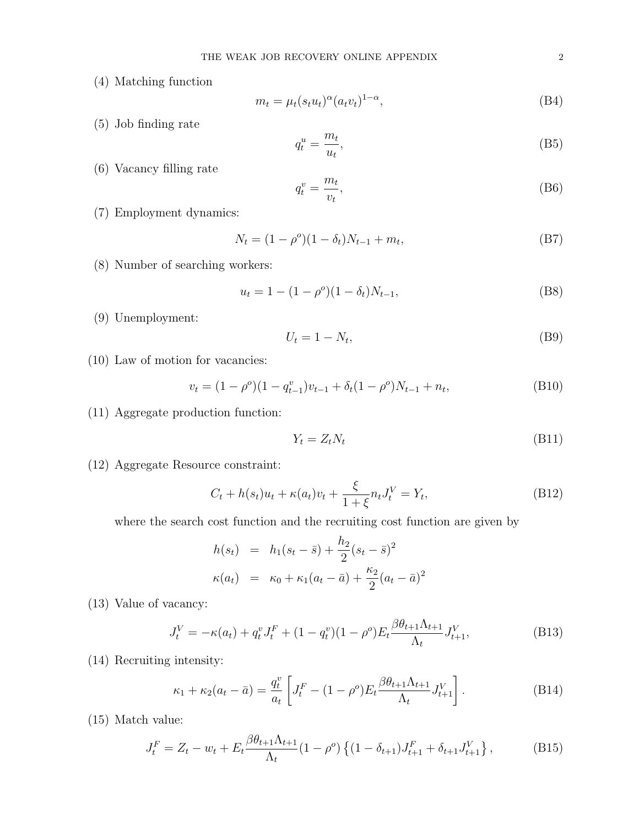(4) Matching function

$$
m_t = \mu_t (s_t u_t)^{\alpha} (a_t v_t)^{1-\alpha}, \tag{B4}
$$

(5) Job finding rate

$$
q_t^u = \frac{m_t}{u_t},\tag{B5}
$$

(6) Vacancy filling rate

$$
q_t^v = \frac{m_t}{v_t},\tag{B6}
$$

(7) Employment dynamics:

$$
N_t = (1 - \rho^o)(1 - \delta_t)N_{t-1} + m_t,
$$
\n(B7)

(8) Number of searching workers:

$$
u_t = 1 - (1 - \rho^o)(1 - \delta_t)N_{t-1},
$$
\n(B8)

(9) Unemployment:

$$
U_t = 1 - N_t,\tag{B9}
$$

(10) Law of motion for vacancies:

$$
v_t = (1 - \rho^o)(1 - q_{t-1}^v)v_{t-1} + \delta_t(1 - \rho^o)N_{t-1} + n_t,
$$
\n(B10)

(11) Aggregate production function:

$$
Y_t = Z_t N_t \tag{B11}
$$

(12) Aggregate Resource constraint:

$$
C_t + h(s_t)u_t + \kappa(a_t)v_t + \frac{\xi}{1+\xi}n_t J_t^V = Y_t,
$$
\n(B12)

where the search cost function and the recruiting cost function are given by

$$
h(s_t) = h_1(s_t - \bar{s}) + \frac{h_2}{2}(s_t - \bar{s})^2
$$
  

$$
\kappa(a_t) = \kappa_0 + \kappa_1(a_t - \bar{a}) + \frac{\kappa_2}{2}(a_t - \bar{a})^2
$$

(13) Value of vacancy:

$$
J_t^V = -\kappa(a_t) + q_t^v J_t^F + (1 - q_t^v)(1 - \rho^o) E_t \frac{\beta \theta_{t+1} \Lambda_{t+1}}{\Lambda_t} J_{t+1}^V,
$$
(B13)

(14) Recruiting intensity:

$$
\kappa_1 + \kappa_2 (a_t - \bar{a}) = \frac{q_t^v}{a_t} \left[ J_t^F - (1 - \rho^o) E_t \frac{\beta \theta_{t+1} \Lambda_{t+1}}{\Lambda_t} J_{t+1}^V \right].
$$
 (B14)

(15) Match value:

$$
J_t^F = Z_t - w_t + E_t \frac{\beta \theta_{t+1} \Lambda_{t+1}}{\Lambda_t} (1 - \rho^o) \left\{ (1 - \delta_{t+1}) J_{t+1}^F + \delta_{t+1} J_{t+1}^V \right\},\tag{B15}
$$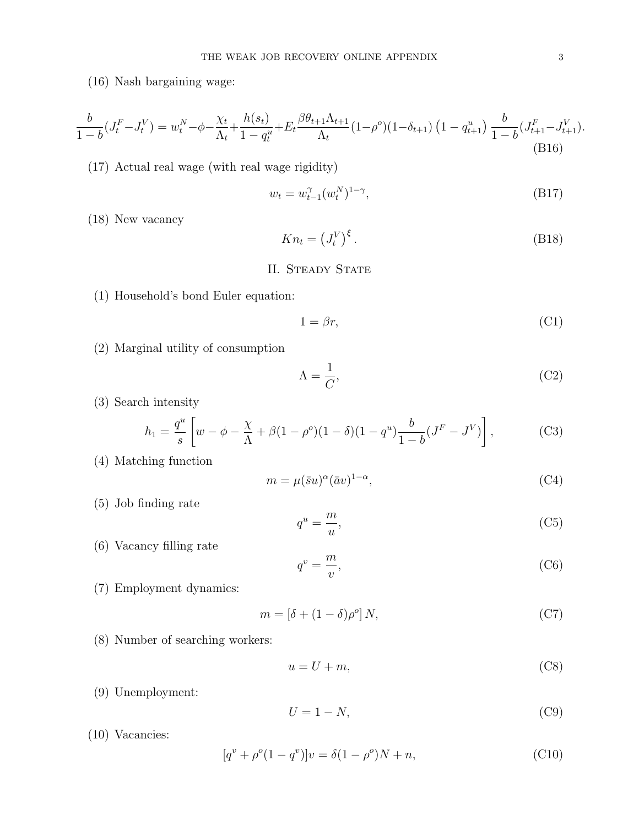(16) Nash bargaining wage:

$$
\frac{b}{1-b}(J_t^F - J_t^V) = w_t^N - \phi - \frac{\chi_t}{\Lambda_t} + \frac{h(s_t)}{1-q_t^u} + E_t \frac{\beta \theta_{t+1} \Lambda_{t+1}}{\Lambda_t} (1-\rho^o)(1-\delta_{t+1}) \left(1-q_{t+1}^u\right) \frac{b}{1-b}(J_{t+1}^F - J_{t+1}^V). \tag{B16}
$$

(17) Actual real wage (with real wage rigidity)

$$
w_t = w_{t-1}^{\gamma}(w_t^N)^{1-\gamma}, \tag{B17}
$$

(18) New vacancy

$$
Kn_t = \left(J_t^V\right)^{\xi}.\tag{B18}
$$

## II. STEADY STATE

(1) Household's bond Euler equation:

$$
1 = \beta r,\tag{C1}
$$

(2) Marginal utility of consumption

$$
\Lambda = \frac{1}{C},\tag{C2}
$$

(3) Search intensity

$$
h_1 = \frac{q^u}{s} \left[ w - \phi - \frac{\chi}{\Lambda} + \beta (1 - \rho^o)(1 - \delta)(1 - q^u) \frac{b}{1 - b} (J^F - J^V) \right],
$$
 (C3)

(4) Matching function

$$
m = \mu(\bar{s}u)^{\alpha}(\bar{a}v)^{1-\alpha},\tag{C4}
$$

(5) Job finding rate

$$
q^u = \frac{m}{u},\tag{C5}
$$

(6) Vacancy filling rate

$$
q^v = \frac{m}{v},\tag{C6}
$$

(7) Employment dynamics:

$$
m = \left[\delta + (1 - \delta)\rho^o\right]N,\tag{C7}
$$

(8) Number of searching workers:

$$
u = U + m,\tag{C8}
$$

(9) Unemployment:

$$
U = 1 - N,\tag{C9}
$$

(10) Vacancies:

$$
[q^v + \rho^o (1 - q^v)]v = \delta (1 - \rho^o)N + n,
$$
\n(C10)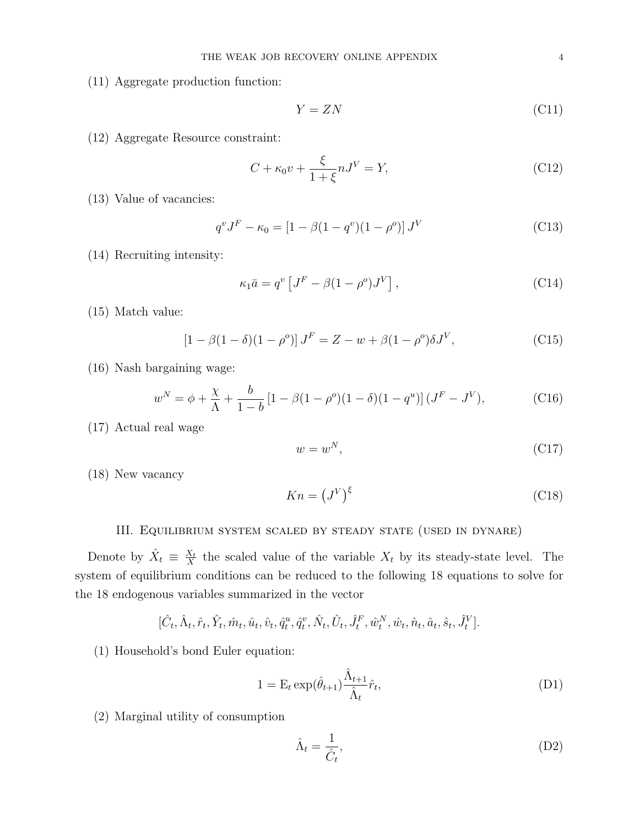(11) Aggregate production function:

$$
Y = ZN \tag{C11}
$$

(12) Aggregate Resource constraint:

$$
C + \kappa_0 v + \frac{\xi}{1 + \xi} n J^V = Y,\tag{C12}
$$

(13) Value of vacancies:

$$
q^{v} J^{F} - \kappa_{0} = [1 - \beta (1 - q^{v})(1 - \rho^{o})] J^{V}
$$
 (C13)

(14) Recruiting intensity:

$$
\kappa_1 \bar{a} = q^{\nu} \left[ J^F - \beta (1 - \rho^o) J^V \right], \qquad (C14)
$$

(15) Match value:

$$
[1 - \beta(1 - \delta)(1 - \rho^o)] J^F = Z - w + \beta(1 - \rho^o)\delta J^V,
$$
 (C15)

(16) Nash bargaining wage:

$$
w^N = \phi + \frac{\chi}{\Lambda} + \frac{b}{1-b} \left[ 1 - \beta (1 - \rho^o)(1 - \delta)(1 - q^u) \right] (J^F - J^V), \tag{C16}
$$

(17) Actual real wage

$$
w = w^N,\tag{C17}
$$

(18) New vacancy

$$
Kn = (J^V)^{\xi} \tag{C18}
$$

# III. Equilibrium system scaled by steady state (used in dynare)

Denote by  $\hat{X}_t \equiv \frac{X_t}{X}$  $\frac{X_t}{X}$  the scaled value of the variable  $X_t$  by its steady-state level. The system of equilibrium conditions can be reduced to the following 18 equations to solve for the 18 endogenous variables summarized in the vector

$$
[\hat{C}_t, \hat{\Lambda}_t, \hat{r}_t, \hat{Y}_t, \hat{m}_t, \hat{u}_t, \hat{v}_t, \hat{q}_t^u, \hat{q}_t^v, \hat{N}_t, \hat{U}_t, \hat{J}_t^F, \hat{w}_t^N, \hat{w}_t, \hat{n}_t, \hat{a}_t, \hat{s}_t, \hat{J}_t^V].
$$

(1) Household's bond Euler equation:

$$
1 = \mathcal{E}_t \exp(\hat{\theta}_{t+1}) \frac{\hat{\Lambda}_{t+1}}{\hat{\Lambda}_t} \hat{r}_t,
$$
\n(D1)

(2) Marginal utility of consumption

$$
\hat{\Lambda}_t = \frac{1}{\hat{C}_t},\tag{D2}
$$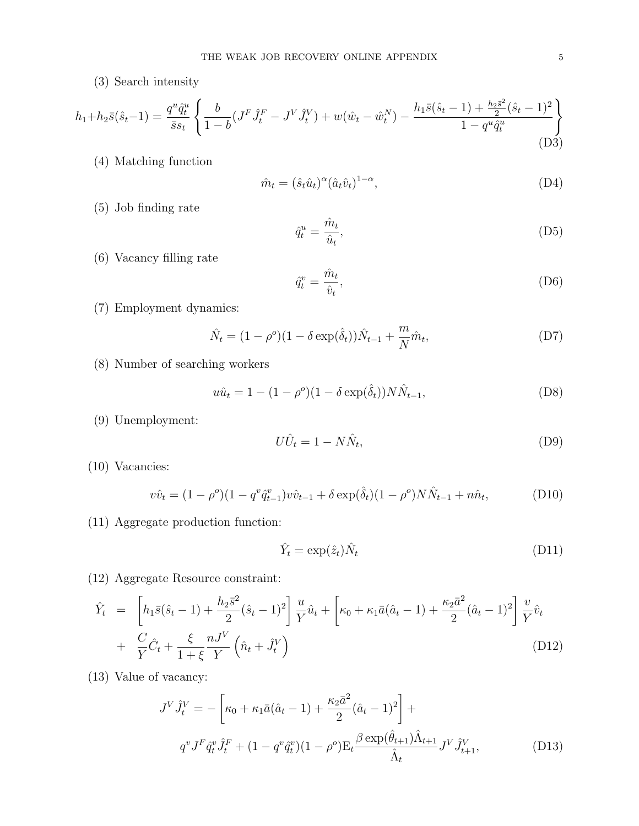(3) Search intensity

$$
h_1 + h_2 \bar{s}(\hat{s}_t - 1) = \frac{q^u \hat{q}_t^u}{\bar{s}s_t} \left\{ \frac{b}{1 - b} (J^F \hat{J}_t^F - J^V \hat{J}_t^V) + w(\hat{w}_t - \hat{w}_t^N) - \frac{h_1 \bar{s}(\hat{s}_t - 1) + \frac{h_2 \bar{s}^2}{2} (\hat{s}_t - 1)^2}{1 - q^u \hat{q}_t^u} \right\}
$$
(D3)

(4) Matching function

$$
\hat{m}_t = (\hat{s}_t \hat{u}_t)^{\alpha} (\hat{a}_t \hat{v}_t)^{1-\alpha},\tag{D4}
$$

(5) Job finding rate

$$
\hat{q}_t^u = \frac{\hat{m}_t}{\hat{u}_t},\tag{D5}
$$

(6) Vacancy filling rate

$$
\hat{q}_t^v = \frac{\hat{m}_t}{\hat{v}_t},\tag{D6}
$$

(7) Employment dynamics:

$$
\hat{N}_t = (1 - \rho^o)(1 - \delta \exp(\hat{\delta}_t))\hat{N}_{t-1} + \frac{m}{N}\hat{m}_t, \tag{D7}
$$

(8) Number of searching workers

$$
u\hat{u}_t = 1 - (1 - \rho^o)(1 - \delta \exp(\hat{\delta}_t))N\hat{N}_{t-1},
$$
\n(D8)

(9) Unemployment:

$$
U\hat{U}_t = 1 - N\hat{N}_t,\tag{D9}
$$

(10) Vacancies:

$$
v\hat{v}_t = (1 - \rho^o)(1 - q^v \hat{q}_{t-1}^v)v\hat{v}_{t-1} + \delta \exp(\hat{\delta}_t)(1 - \rho^o)N\hat{N}_{t-1} + n\hat{n}_t, \tag{D10}
$$

(11) Aggregate production function:

$$
\hat{Y}_t = \exp(\hat{z}_t)\hat{N}_t \tag{D11}
$$

(12) Aggregate Resource constraint:

$$
\hat{Y}_t = \left[ h_1 \bar{s}(\hat{s}_t - 1) + \frac{h_2 \bar{s}^2}{2} (\hat{s}_t - 1)^2 \right] \frac{u}{Y} \hat{u}_t + \left[ \kappa_0 + \kappa_1 \bar{a} (\hat{a}_t - 1) + \frac{\kappa_2 \bar{a}^2}{2} (\hat{a}_t - 1)^2 \right] \frac{v}{Y} \hat{v}_t \n+ \frac{C}{Y} \hat{C}_t + \frac{\xi}{1 + \xi} \frac{nJ^V}{Y} \left( \hat{n}_t + \hat{J}_t^V \right)
$$
\n(D12)

(13) Value of vacancy:

$$
J^{V} \hat{J}_{t}^{V} = -\left[\kappa_{0} + \kappa_{1} \bar{a}(\hat{a}_{t} - 1) + \frac{\kappa_{2} \bar{a}^{2}}{2} (\hat{a}_{t} - 1)^{2}\right] +
$$
  
\n
$$
q^{v} J^{F} \hat{q}_{t}^{v} \hat{J}_{t}^{F} + (1 - q^{v} \hat{q}_{t}^{v})(1 - \rho^{o}) \mathcal{E}_{t} \frac{\beta \exp(\hat{\theta}_{t+1}) \hat{\Lambda}_{t+1}}{\hat{\Lambda}_{t}} J^{V} \hat{J}_{t+1}^{V},
$$
\n(D13)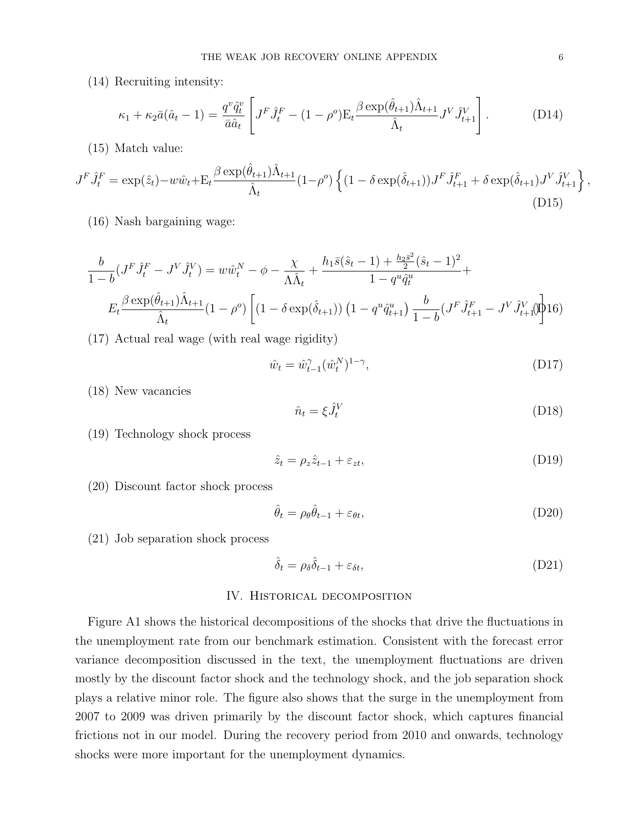(14) Recruiting intensity:

$$
\kappa_1 + \kappa_2 \bar{a}(\hat{a}_t - 1) = \frac{q^v \hat{q}_t^v}{\bar{a}\hat{a}_t} \left[ J^F \hat{J}_t^F - (1 - \rho^o) \mathcal{E}_t \frac{\beta \exp(\hat{\theta}_{t+1}) \hat{\Lambda}_{t+1}}{\hat{\Lambda}_t} J^V \hat{J}_{t+1}^V \right]. \tag{D14}
$$

(15) Match value:

$$
J^{F}\hat{J}_{t}^{F} = \exp(\hat{z}_{t}) - w\hat{w}_{t} + \mathcal{E}_{t} \frac{\beta \exp(\hat{\theta}_{t+1})\hat{\Lambda}_{t+1}}{\hat{\Lambda}_{t}} (1 - \rho^{o}) \left\{ (1 - \delta \exp(\hat{\delta}_{t+1})) J^{F}\hat{J}_{t+1}^{F} + \delta \exp(\hat{\delta}_{t+1}) J^{V}\hat{J}_{t+1}^{V} \right\},\tag{D15}
$$

(16) Nash bargaining wage:

$$
\frac{b}{1-b}(J^F \hat{J}_t^F - J^V \hat{J}_t^V) = w\hat{w}_t^N - \phi - \frac{\chi}{\Lambda \hat{\Lambda}_t} + \frac{h_1 \bar{s}(\hat{s}_t - 1) + \frac{h_2 \bar{s}^2}{2}(\hat{s}_t - 1)^2}{1 - q^u \hat{q}_t^u} +
$$
  

$$
E_t \frac{\beta \exp(\hat{\theta}_{t+1}) \hat{\Lambda}_{t+1}}{\hat{\Lambda}_t} (1 - \rho^o) \left[ (1 - \delta \exp(\hat{\delta}_{t+1})) \left( 1 - q^u \hat{q}_{t+1}^u \right) \frac{b}{1 - b} (J^F \hat{J}_{t+1}^F - J^V \hat{J}_{t+1}^V) \right] 16)
$$

(17) Actual real wage (with real wage rigidity)

$$
\hat{w}_t = \hat{w}_{t-1}^{\gamma} (\hat{w}_t^N)^{1-\gamma}, \tag{D17}
$$

(18) New vacancies

$$
\hat{n}_t = \xi \hat{J}_t^V \tag{D18}
$$

(19) Technology shock process

$$
\hat{z}_t = \rho_z \hat{z}_{t-1} + \varepsilon_{zt},\tag{D19}
$$

(20) Discount factor shock process

$$
\hat{\theta}_t = \rho_\theta \hat{\theta}_{t-1} + \varepsilon_{\theta t},\tag{D20}
$$

(21) Job separation shock process

$$
\hat{\delta}_t = \rho_\delta \hat{\delta}_{t-1} + \varepsilon_{\delta t},\tag{D21}
$$

### IV. Historical decomposition

Figure A1 shows the historical decompositions of the shocks that drive the fluctuations in the unemployment rate from our benchmark estimation. Consistent with the forecast error variance decomposition discussed in the text, the unemployment fluctuations are driven mostly by the discount factor shock and the technology shock, and the job separation shock plays a relative minor role. The figure also shows that the surge in the unemployment from 2007 to 2009 was driven primarily by the discount factor shock, which captures financial frictions not in our model. During the recovery period from 2010 and onwards, technology shocks were more important for the unemployment dynamics.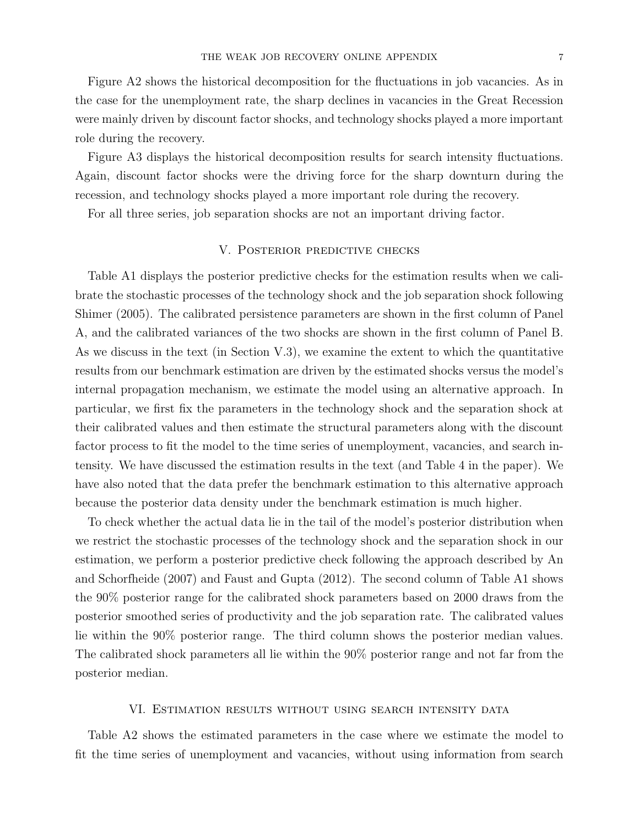Figure A2 shows the historical decomposition for the fluctuations in job vacancies. As in the case for the unemployment rate, the sharp declines in vacancies in the Great Recession were mainly driven by discount factor shocks, and technology shocks played a more important role during the recovery.

Figure A3 displays the historical decomposition results for search intensity fluctuations. Again, discount factor shocks were the driving force for the sharp downturn during the recession, and technology shocks played a more important role during the recovery.

For all three series, job separation shocks are not an important driving factor.

### V. Posterior predictive checks

Table A1 displays the posterior predictive checks for the estimation results when we calibrate the stochastic processes of the technology shock and the job separation shock following Shimer (2005). The calibrated persistence parameters are shown in the first column of Panel A, and the calibrated variances of the two shocks are shown in the first column of Panel B. As we discuss in the text (in Section V.3), we examine the extent to which the quantitative results from our benchmark estimation are driven by the estimated shocks versus the model's internal propagation mechanism, we estimate the model using an alternative approach. In particular, we first fix the parameters in the technology shock and the separation shock at their calibrated values and then estimate the structural parameters along with the discount factor process to fit the model to the time series of unemployment, vacancies, and search intensity. We have discussed the estimation results in the text (and Table 4 in the paper). We have also noted that the data prefer the benchmark estimation to this alternative approach because the posterior data density under the benchmark estimation is much higher.

To check whether the actual data lie in the tail of the model's posterior distribution when we restrict the stochastic processes of the technology shock and the separation shock in our estimation, we perform a posterior predictive check following the approach described by An and Schorfheide (2007) and Faust and Gupta (2012). The second column of Table A1 shows the 90% posterior range for the calibrated shock parameters based on 2000 draws from the posterior smoothed series of productivity and the job separation rate. The calibrated values lie within the 90% posterior range. The third column shows the posterior median values. The calibrated shock parameters all lie within the 90% posterior range and not far from the posterior median.

#### VI. Estimation results without using search intensity data

Table A2 shows the estimated parameters in the case where we estimate the model to fit the time series of unemployment and vacancies, without using information from search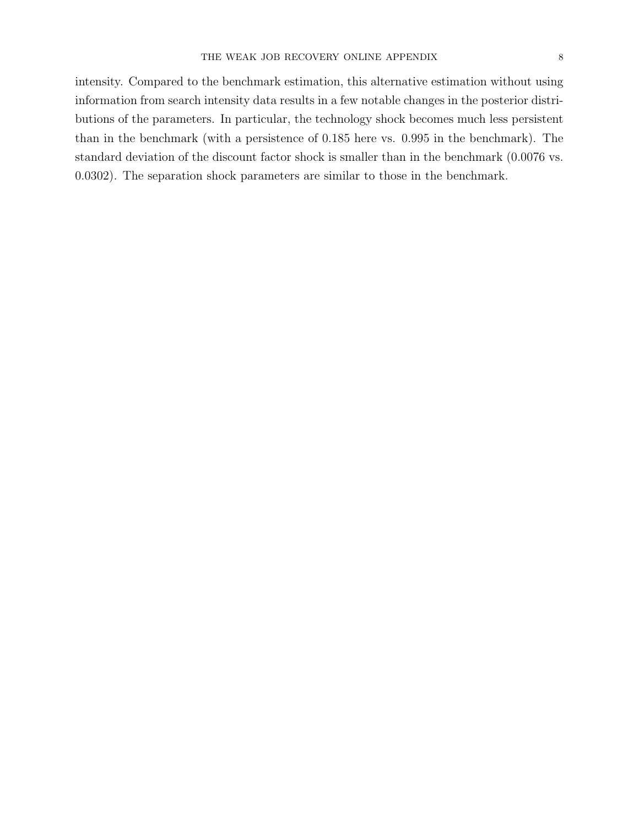intensity. Compared to the benchmark estimation, this alternative estimation without using information from search intensity data results in a few notable changes in the posterior distributions of the parameters. In particular, the technology shock becomes much less persistent than in the benchmark (with a persistence of 0.185 here vs. 0.995 in the benchmark). The standard deviation of the discount factor shock is smaller than in the benchmark (0.0076 vs. 0.0302). The separation shock parameters are similar to those in the benchmark.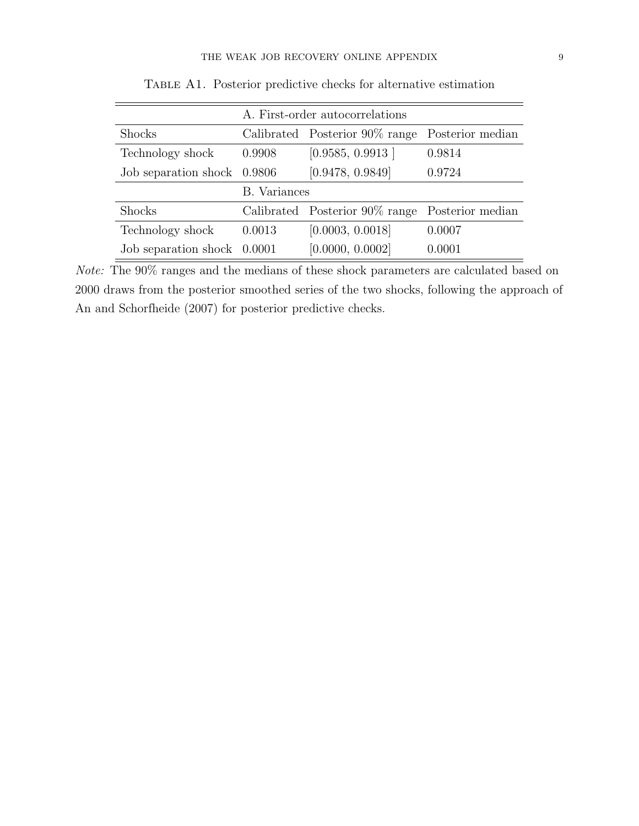|                             | A. First-order autocorrelations                 |                                                 |        |  |  |  |
|-----------------------------|-------------------------------------------------|-------------------------------------------------|--------|--|--|--|
| Shocks                      | Calibrated Posterior 90% range Posterior median |                                                 |        |  |  |  |
| Technology shock            | 0.9908                                          | [0.9585, 0.9913]                                | 0.9814 |  |  |  |
| Job separation shock 0.9806 |                                                 | [0.9478, 0.9849]                                | 0.9724 |  |  |  |
|                             | <b>B.</b> Variances                             |                                                 |        |  |  |  |
| <b>Shocks</b>               |                                                 | Calibrated Posterior 90% range Posterior median |        |  |  |  |
| Technology shock            | 0.0013                                          | [0.0003, 0.0018]                                | 0.0007 |  |  |  |
| Job separation shock        | 0.0001                                          | [0.0000, 0.0002]                                | 0.0001 |  |  |  |

Table A1. Posterior predictive checks for alternative estimation

Note: The 90% ranges and the medians of these shock parameters are calculated based on 2000 draws from the posterior smoothed series of the two shocks, following the approach of An and Schorfheide (2007) for posterior predictive checks.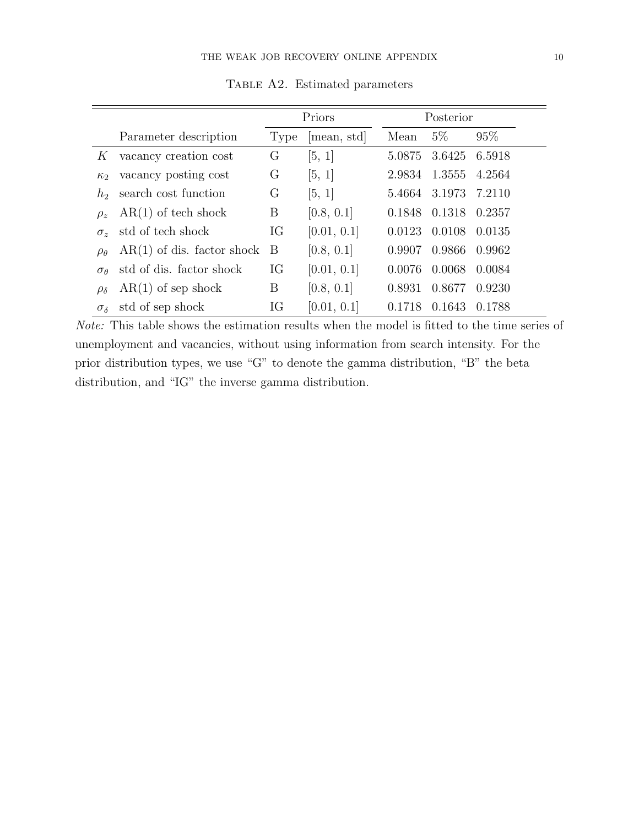|                                         |                              | Priors |             | Posterior |        |        |
|-----------------------------------------|------------------------------|--------|-------------|-----------|--------|--------|
|                                         | Parameter description        | Type   | [mean, std] | Mean      | $5\%$  | 95%    |
| K                                       | vacancy creation cost        | G      | [5, 1]      | 5.0875    | 3.6425 | 6.5918 |
| $\kappa$                                | vacancy posting cost         | G      | [5, 1]      | 2.9834    | 1.3555 | 4.2564 |
| $h_{\mathcal{D}}$                       | search cost function         | G      | [5, 1]      | 5.4664    | 3.1973 | 7.2110 |
| $\rho_z$                                | $AR(1)$ of tech shock        | Β      | [0.8, 0.1]  | 0.1848    | 0.1318 | 0.2357 |
| $\sigma_{\gamma}$                       | std of tech shock            | IG     | [0.01, 0.1] | 0.0123    | 0.0108 | 0.0135 |
| $\rho_{\theta}$                         | $AR(1)$ of dis. factor shock | B      | [0.8, 0.1]  | 0.9907    | 0.9866 | 0.9962 |
| $\sigma$ <sup><math>\theta</math></sup> | std of dis. factor shock     | IG     | [0.01, 0.1] | 0.0076    | 0.0068 | 0.0084 |
| $\rho_{\delta}$                         | $AR(1)$ of sep shock         | Β      | [0.8, 0.1]  | 0.8931    | 0.8677 | 0.9230 |
| $\sigma_{\delta}$                       | std of sep shock             | IG     | [0.01, 0.1] | 0.1718    | 0.1643 | 0.1788 |

Table A2. Estimated parameters

Note: This table shows the estimation results when the model is fitted to the time series of unemployment and vacancies, without using information from search intensity. For the prior distribution types, we use "G" to denote the gamma distribution, "B" the beta distribution, and "IG" the inverse gamma distribution.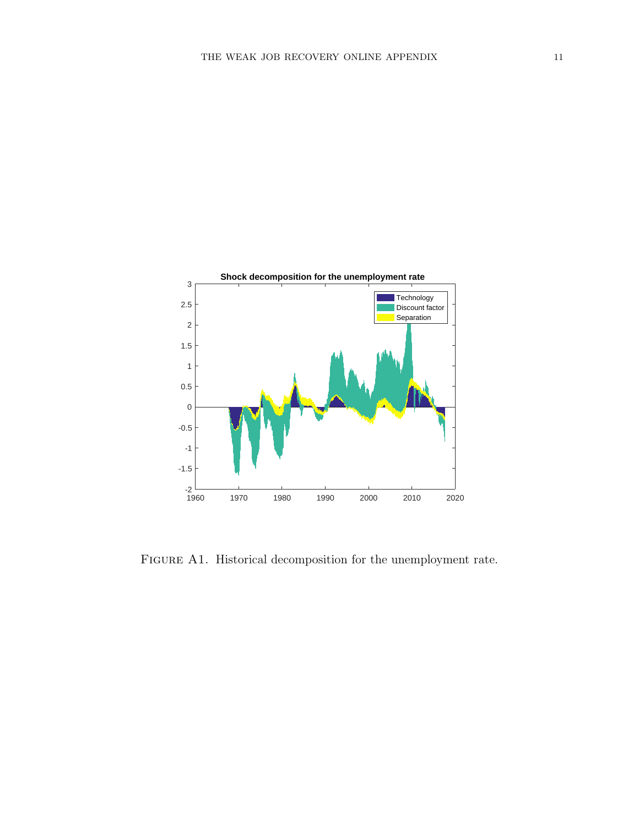

FIGURE A1. Historical decomposition for the unemployment rate.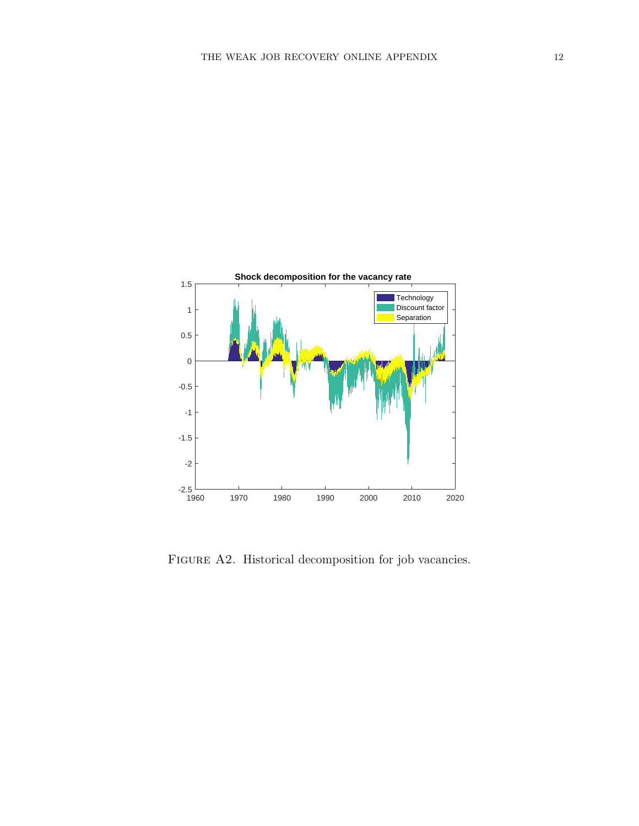

FIGURE A2. Historical decomposition for job vacancies.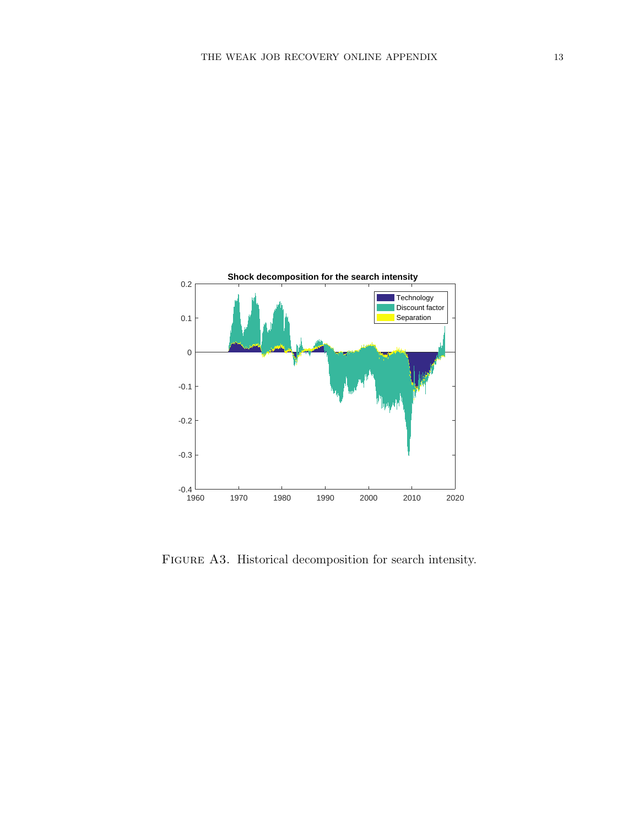

FIGURE A3. Historical decomposition for search intensity.